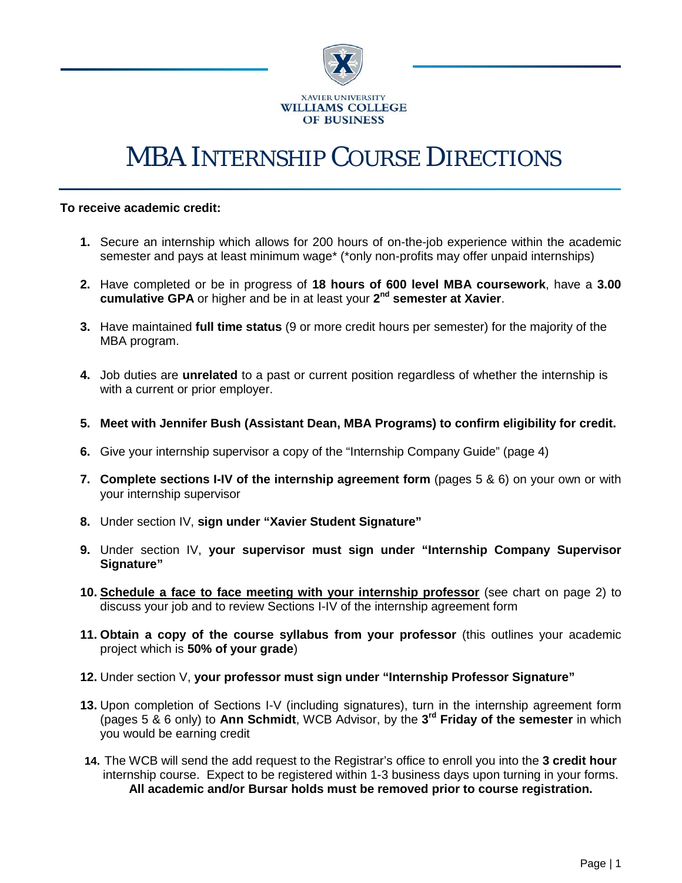

# MBA INTERNSHIP COURSE DIRECTIONS

#### **To receive academic credit:**

- **1.** Secure an internship which allows for 200 hours of on-the-job experience within the academic semester and pays at least minimum wage\* (\*only non-profits may offer unpaid internships)
- **2.** Have completed or be in progress of **18 hours of 600 level MBA coursework**, have a **3.00 cumulative GPA** or higher and be in at least your **2nd semester at Xavier**.
- **3.** Have maintained **full time status** (9 or more credit hours per semester) for the majority of the MBA program.
- **4.** Job duties are **unrelated** to a past or current position regardless of whether the internship is with a current or prior employer.
- **5. Meet with Jennifer Bush (Assistant Dean, MBA Programs) to confirm eligibility for credit.**
- **6.** Give your internship supervisor a copy of the "Internship Company Guide" (page 4)
- **7. Complete sections I-IV of the internship agreement form** (pages 5 & 6) on your own or with your internship supervisor
- **8.** Under section IV, **sign under "Xavier Student Signature"**
- **9.** Under section IV, **your supervisor must sign under "Internship Company Supervisor Signature"**
- **10. Schedule a face to face meeting with your internship professor** (see chart on page 2) to discuss your job and to review Sections I-IV of the internship agreement form
- **11. Obtain a copy of the course syllabus from your professor** (this outlines your academic project which is **50% of your grade**)
- **12.** Under section V, **your professor must sign under "Internship Professor Signature"**
- **13.** Upon completion of Sections I-V (including signatures), turn in the internship agreement form (pages 5 & 6 only) to **Ann Schmidt**, WCB Advisor, by the **3rd Friday of the semester** in which you would be earning credit
- **14.** The WCB will send the add request to the Registrar's office to enroll you into the **3 credit hour** internship course. Expect to be registered within 1-3 business days upon turning in your forms. **All academic and/or Bursar holds must be removed prior to course registration.**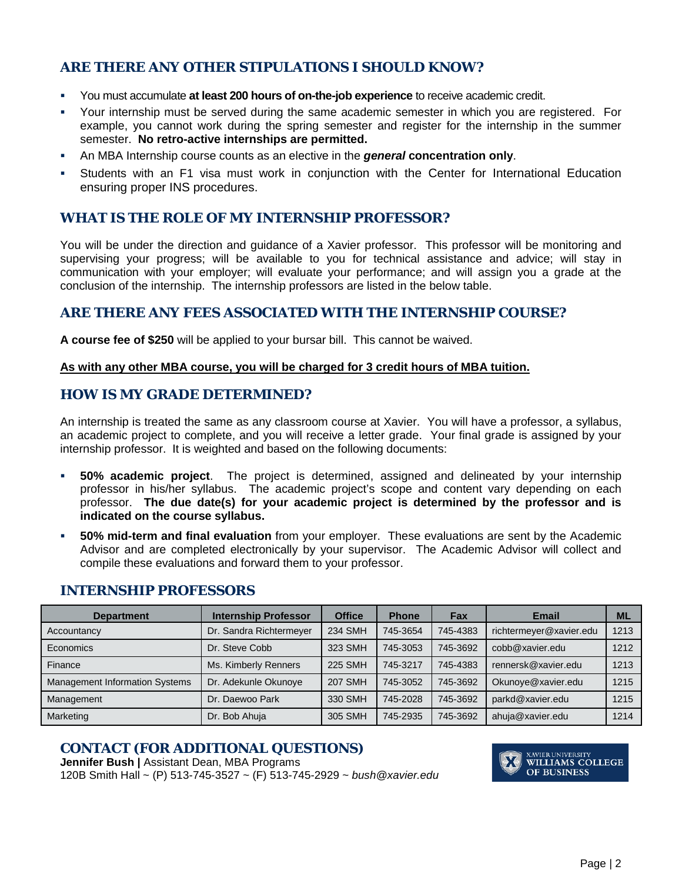## **ARE THERE ANY OTHER STIPULATIONS I SHOULD KNOW?**

- You must accumulate **at least 200 hours of on-the-job experience** to receive academic credit.
- Your internship must be served during the same academic semester in which you are registered. For example, you cannot work during the spring semester and register for the internship in the summer semester. **No retro-active internships are permitted.**
- An MBA Internship course counts as an elective in the *general* **concentration only**.
- Students with an F1 visa must work in conjunction with the Center for International Education ensuring proper INS procedures.

### **WHAT IS THE ROLE OF MY INTERNSHIP PROFESSOR?**

You will be under the direction and guidance of a Xavier professor. This professor will be monitoring and supervising your progress; will be available to you for technical assistance and advice; will stay in communication with your employer; will evaluate your performance; and will assign you a grade at the conclusion of the internship. The internship professors are listed in the below table.

#### **ARE THERE ANY FEES ASSOCIATED WITH THE INTERNSHIP COURSE?**

**A course fee of \$250** will be applied to your bursar bill. This cannot be waived.

#### **As with any other MBA course, you will be charged for 3 credit hours of MBA tuition.**

#### **HOW IS MY GRADE DETERMINED?**

An internship is treated the same as any classroom course at Xavier. You will have a professor, a syllabus, an academic project to complete, and you will receive a letter grade. Your final grade is assigned by your internship professor. It is weighted and based on the following documents:

- **50% academic project**. The project is determined, assigned and delineated by your internship professor in his/her syllabus. The academic project's scope and content vary depending on each professor. **The due date(s) for your academic project is determined by the professor and is indicated on the course syllabus.**
- **50% mid-term and final evaluation** from your employer. These evaluations are sent by the Academic Advisor and are completed electronically by your supervisor. The Academic Advisor will collect and compile these evaluations and forward them to your professor.

| <b>Department</b>                     | <b>Internship Professor</b> | <b>Office</b>  | <b>Phone</b> | Fax      | Email                   | <b>ML</b> |
|---------------------------------------|-----------------------------|----------------|--------------|----------|-------------------------|-----------|
| Accountancy                           | Dr. Sandra Richtermeyer     | 234 SMH        | 745-3654     | 745-4383 | richtermeyer@xavier.edu | 1213      |
| Economics                             | Dr. Steve Cobb              | 323 SMH        | 745-3053     | 745-3692 | cobb@xavier.edu         | 1212      |
| Finance                               | Ms. Kimberly Renners        | <b>225 SMH</b> | 745-3217     | 745-4383 | rennersk@xavier.edu     | 1213      |
| <b>Management Information Systems</b> | Dr. Adekunle Okunoye        | <b>207 SMH</b> | 745-3052     | 745-3692 | Okunoye@xavier.edu      | 1215      |
| Management                            | Dr. Daewoo Park             | 330 SMH        | 745-2028     | 745-3692 | parkd@xavier.edu        | 1215      |
| Marketing                             | Dr. Bob Ahuja               | 305 SMH        | 745-2935     | 745-3692 | ahuja@xavier.edu        | 1214      |

#### **INTERNSHIP PROFESSORS**

## **CONTACT (FOR ADDITIONAL QUESTIONS)**

**Jennifer Bush | Assistant Dean, MBA Programs** 120B Smith Hall ~ (P) 513-745-3527 ~ (F) 513-745-2929 ~ *bush@xavier.edu*

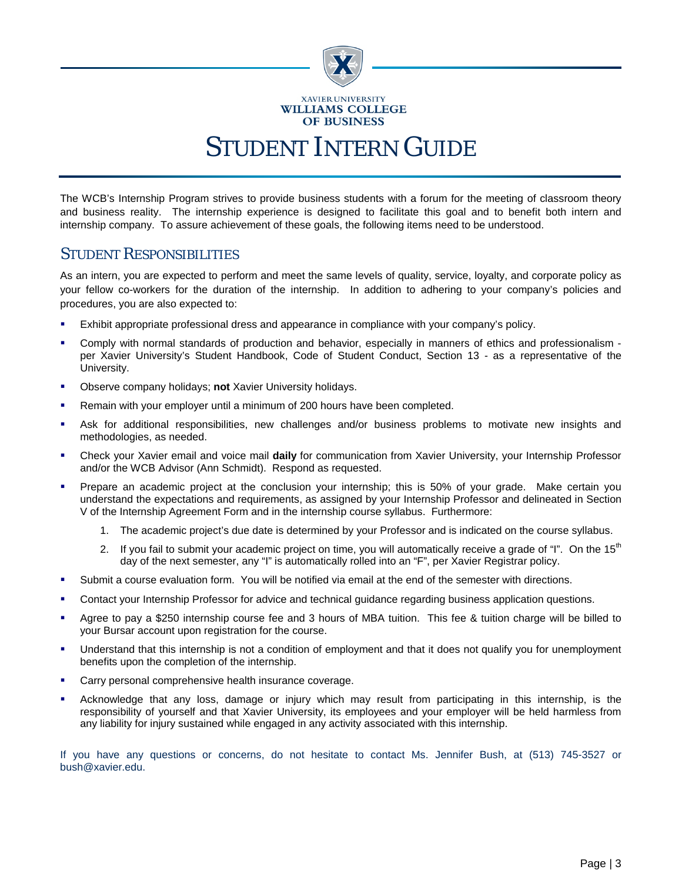

The WCB's Internship Program strives to provide business students with a forum for the meeting of classroom theory and business reality. The internship experience is designed to facilitate this goal and to benefit both intern and internship company. To assure achievement of these goals, the following items need to be understood.

## STUDENT RESPONSIBILITIES

As an intern, you are expected to perform and meet the same levels of quality, service, loyalty, and corporate policy as your fellow co-workers for the duration of the internship. In addition to adhering to your company's policies and procedures, you are also expected to:

- Exhibit appropriate professional dress and appearance in compliance with your company's policy.
- Comply with normal standards of production and behavior, especially in manners of ethics and professionalism per Xavier University's Student Handbook, Code of Student Conduct, Section 13 - as a representative of the University.
- Observe company holidays; **not** Xavier University holidays.
- Remain with your employer until a minimum of 200 hours have been completed.
- Ask for additional responsibilities, new challenges and/or business problems to motivate new insights and methodologies, as needed.
- Check your Xavier email and voice mail **daily** for communication from Xavier University, your Internship Professor and/or the WCB Advisor (Ann Schmidt). Respond as requested.
- Prepare an academic project at the conclusion your internship; this is 50% of your grade. Make certain you understand the expectations and requirements, as assigned by your Internship Professor and delineated in Section V of the Internship Agreement Form and in the internship course syllabus. Furthermore:
	- 1. The academic project's due date is determined by your Professor and is indicated on the course syllabus.
	- 2. If you fail to submit your academic project on time, you will automatically receive a grade of "I". On the 15<sup>th</sup> day of the next semester, any "I" is automatically rolled into an "F", per Xavier Registrar policy.
- Submit a course evaluation form. You will be notified via email at the end of the semester with directions.
- Contact your Internship Professor for advice and technical guidance regarding business application questions.
- Agree to pay a \$250 internship course fee and 3 hours of MBA tuition. This fee & tuition charge will be billed to your Bursar account upon registration for the course.
- Understand that this internship is not a condition of employment and that it does not qualify you for unemployment benefits upon the completion of the internship.
- Carry personal comprehensive health insurance coverage.
- Acknowledge that any loss, damage or injury which may result from participating in this internship, is the responsibility of yourself and that Xavier University, its employees and your employer will be held harmless from any liability for injury sustained while engaged in any activity associated with this internship.

If you have any questions or concerns, do not hesitate to contact Ms. Jennifer Bush, at (513) 745-3527 or bush@xavier.edu.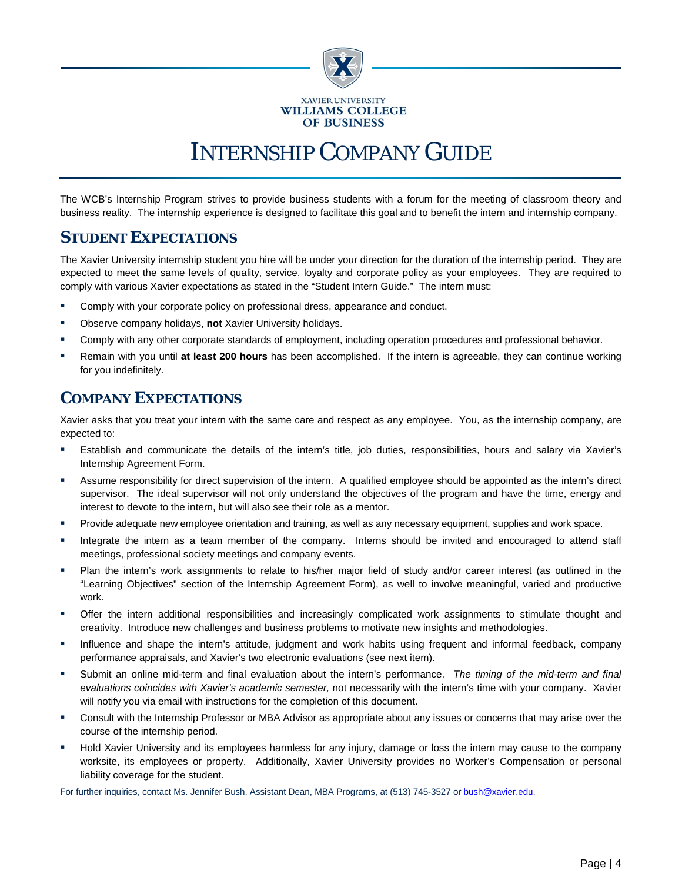

## INTERNSHIP COMPANY GUIDE

The WCB's Internship Program strives to provide business students with a forum for the meeting of classroom theory and business reality. The internship experience is designed to facilitate this goal and to benefit the intern and internship company.

## **STUDENT EXPECTATIONS**

The Xavier University internship student you hire will be under your direction for the duration of the internship period. They are expected to meet the same levels of quality, service, loyalty and corporate policy as your employees. They are required to comply with various Xavier expectations as stated in the "Student Intern Guide." The intern must:

- Comply with your corporate policy on professional dress, appearance and conduct.
- Observe company holidays, **not** Xavier University holidays.
- Comply with any other corporate standards of employment, including operation procedures and professional behavior.
- Remain with you until **at least 200 hours** has been accomplished. If the intern is agreeable, they can continue working for you indefinitely.

## **COMPANY EXPECTATIONS**

Xavier asks that you treat your intern with the same care and respect as any employee. You, as the internship company, are expected to:

- Establish and communicate the details of the intern's title, job duties, responsibilities, hours and salary via Xavier's Internship Agreement Form.
- Assume responsibility for direct supervision of the intern. A qualified employee should be appointed as the intern's direct supervisor. The ideal supervisor will not only understand the objectives of the program and have the time, energy and interest to devote to the intern, but will also see their role as a mentor.
- Provide adequate new employee orientation and training, as well as any necessary equipment, supplies and work space.
- Integrate the intern as a team member of the company. Interns should be invited and encouraged to attend staff meetings, professional society meetings and company events.
- Plan the intern's work assignments to relate to his/her major field of study and/or career interest (as outlined in the "Learning Objectives" section of the Internship Agreement Form), as well to involve meaningful, varied and productive work.
- Offer the intern additional responsibilities and increasingly complicated work assignments to stimulate thought and creativity. Introduce new challenges and business problems to motivate new insights and methodologies.
- Influence and shape the intern's attitude, judgment and work habits using frequent and informal feedback, company performance appraisals, and Xavier's two electronic evaluations (see next item).
- Submit an online mid-term and final evaluation about the intern's performance. *The timing of the mid-term and final evaluations coincides with Xavier's academic semester,* not necessarily with the intern's time with your company. Xavier will notify you via email with instructions for the completion of this document.
- Consult with the Internship Professor or MBA Advisor as appropriate about any issues or concerns that may arise over the course of the internship period.
- Hold Xavier University and its employees harmless for any injury, damage or loss the intern may cause to the company worksite, its employees or property. Additionally, Xavier University provides no Worker's Compensation or personal liability coverage for the student.

For further inquiries, contact Ms. Jennifer Bush, Assistant Dean, MBA Programs, at (513) 745-3527 o[r bush@xavier.edu.](mailto:bush@xavier.edu)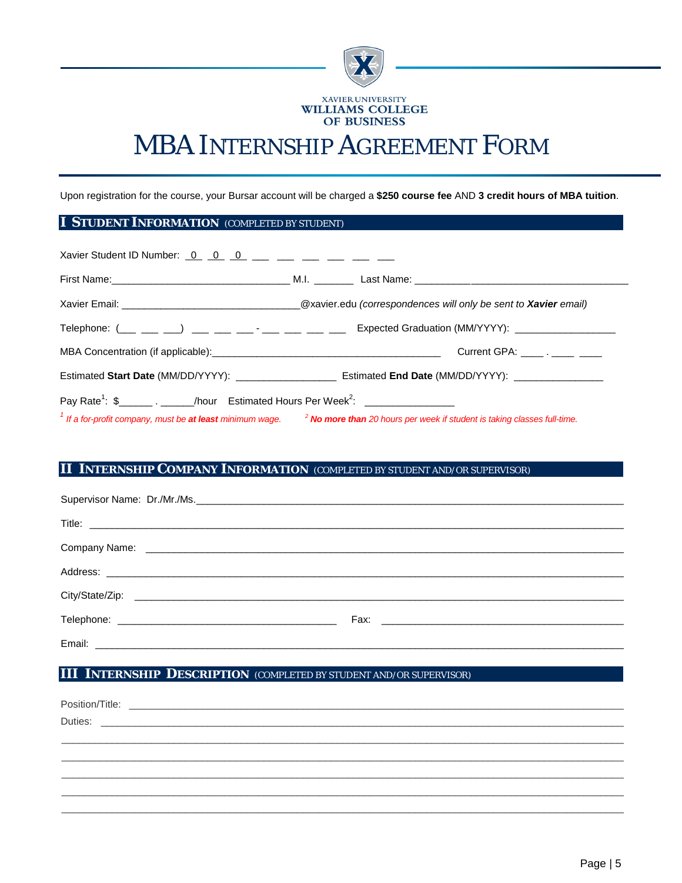

## MBA INTERNSHIP AGREEMENT FORM

Upon registration for the course, your Bursar account will be charged a **\$250 course fee** AND **3 credit hours of MBA tuition**.

#### **I STUDENT INFORMATION** *(COMPLETED BY STUDENT)*

| Xavier Student ID Number: $0$ $0$ $0$ $ 0$ $      -$                                                            |                                                                                                                                                                          |
|-----------------------------------------------------------------------------------------------------------------|--------------------------------------------------------------------------------------------------------------------------------------------------------------------------|
|                                                                                                                 |                                                                                                                                                                          |
|                                                                                                                 |                                                                                                                                                                          |
|                                                                                                                 | Telephone: $(\_\_\_\_\_\_\_\_)\_\_\_\_\_\_\_\_$ = $\_\_\_\_\_\_\_\_$ = $\_\_\_\_\_\_\_\_\_$ = $\_\_\_\_\_\_\_\_$ Expected Graduation (MM/YYYY): $\_\_\_\_\_\_\_\_\_\_\_$ |
|                                                                                                                 | Current GPA: ______ . _____ _____                                                                                                                                        |
|                                                                                                                 |                                                                                                                                                                          |
| Pay Rate <sup>1</sup> : $\frac{1}{2}$ $\frac{1}{2}$ $\frac{1}{2}$ /hour Estimated Hours Per Week <sup>2</sup> : |                                                                                                                                                                          |
|                                                                                                                 | <sup>1</sup> If a for-profit company, must be at least minimum wage. $\frac{2}{\pi}$ No more than 20 hours per week if student is taking classes full-time.              |

#### **II INTERNSHIP COMPANY INFORMATION** *(COMPLETED BY STUDENT AND/OR SUPERVISOR)*

## **III INTERNSHIP DESCRIPTION** *(COMPLETED BY STUDENT AND/OR SUPERVISOR)*